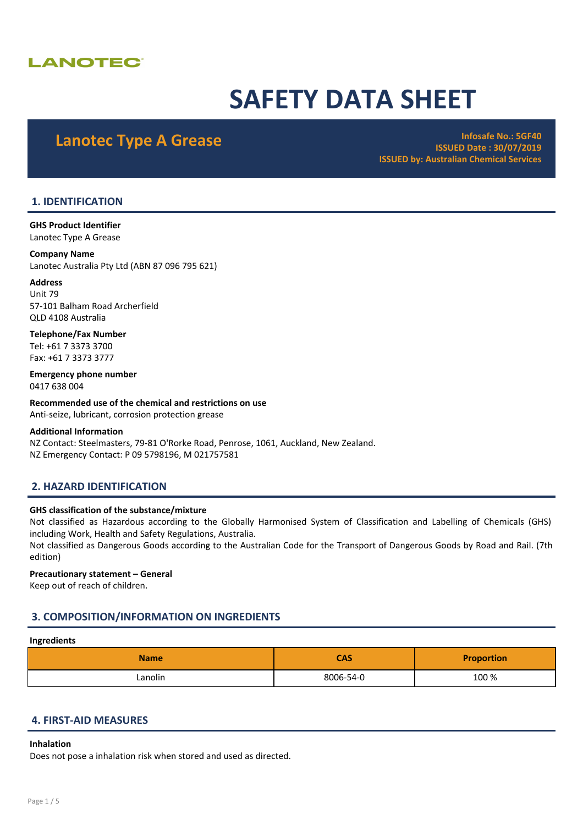# **LANOTEC®**

# SAFETY DATA SHEET

Lanotec Type A Grease **Infosafe No.: 5GF40** ISSUED Date : 30/07/2019 ISSUED by: Australian Chemical Services

# 1. IDENTIFICATION

GHS Product Identifier Lanotec Type A Grease

#### Company Name

Lanotec Australia Pty Ltd (ABN 87 096 795 621)

#### Address

Unit 79 57-101 Balham Road Archerfield QLD 4108 Australia

Telephone/Fax Number Tel: +61 7 3373 3700 Fax: +61 7 3373 3777

Emergency phone number 0417 638 004

Recommended use of the chemical and restrictions on use Anti-seize, lubricant, corrosion protection grease

#### Additional Information

NZ Contact: Steelmasters, 79-81 O'Rorke Road, Penrose, 1061, Auckland, New Zealand. NZ Emergency Contact: P 09 5798196, M 021757581

# 2. HAZARD IDENTIFICATION

#### GHS classification of the substance/mixture

Not classified as Hazardous according to the Globally Harmonised System of Classification and Labelling of Chemicals (GHS) including Work, Health and Safety Regulations, Australia.

Not classified as Dangerous Goods according to the Australian Code for the Transport of Dangerous Goods by Road and Rail. (7th edition)

#### Precautionary statement – General

Keep out of reach of children.

# 3. COMPOSITION/INFORMATION ON INGREDIENTS

# Ingredients

| <b>Name</b> | <b>CAS</b> | <b>Proportion</b> |
|-------------|------------|-------------------|
| Lanolin     | 8006-54-0  | 100 %             |

### 4. FIRST-AID MEASURES

#### Inhalation

Does not pose a inhalation risk when stored and used as directed.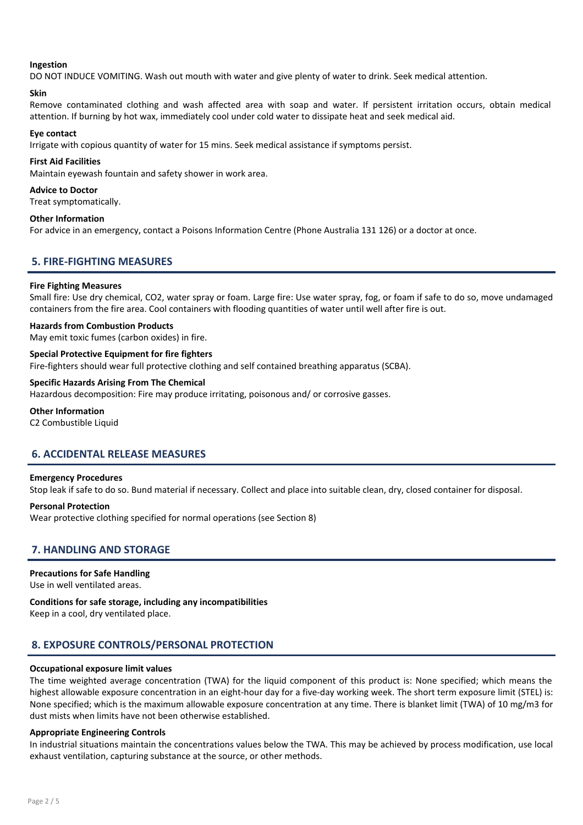#### Ingestion

DO NOT INDUCE VOMITING. Wash out mouth with water and give plenty of water to drink. Seek medical attention.

#### Skin

Remove contaminated clothing and wash affected area with soap and water. If persistent irritation occurs, obtain medical attention. If burning by hot wax, immediately cool under cold water to dissipate heat and seek medical aid.

#### Eye contact

Irrigate with copious quantity of water for 15 mins. Seek medical assistance if symptoms persist.

#### First Aid Facilities

Maintain eyewash fountain and safety shower in work area.

#### Advice to Doctor

Treat symptomatically.

#### Other Information

For advice in an emergency, contact a Poisons Information Centre (Phone Australia 131 126) or a doctor at once.

# 5. FIRE-FIGHTING MEASURES

#### Fire Fighting Measures

Small fire: Use dry chemical, CO2, water spray or foam. Large fire: Use water spray, fog, or foam if safe to do so, move undamaged containers from the fire area. Cool containers with flooding quantities of water until well after fire is out.

#### Hazards from Combustion Products

May emit toxic fumes (carbon oxides) in fire.

#### Special Protective Equipment for fire fighters

Fire-fighters should wear full protective clothing and self contained breathing apparatus (SCBA).

#### Specific Hazards Arising From The Chemical

Hazardous decomposition: Fire may produce irritating, poisonous and/ or corrosive gasses.

#### Other Information

C2 Combustible Liquid

# 6. ACCIDENTAL RELEASE MEASURES

#### Emergency Procedures

Stop leak if safe to do so. Bund material if necessary. Collect and place into suitable clean, dry, closed container for disposal.

#### Personal Protection

Wear protective clothing specified for normal operations (see Section 8)

# 7. HANDLING AND STORAGE

#### Precautions for Safe Handling

Use in well ventilated areas.

#### Conditions for safe storage, including any incompatibilities

Keep in a cool, dry ventilated place.

# 8. EXPOSURE CONTROLS/PERSONAL PROTECTION

#### Occupational exposure limit values

The time weighted average concentration (TWA) for the liquid component of this product is: None specified; which means the highest allowable exposure concentration in an eight-hour day for a five-day working week. The short term exposure limit (STEL) is: None specified; which is the maximum allowable exposure concentration at any time. There is blanket limit (TWA) of 10 mg/m3 for dust mists when limits have not been otherwise established.

#### Appropriate Engineering Controls

In industrial situations maintain the concentrations values below the TWA. This may be achieved by process modification, use local exhaust ventilation, capturing substance at the source, or other methods.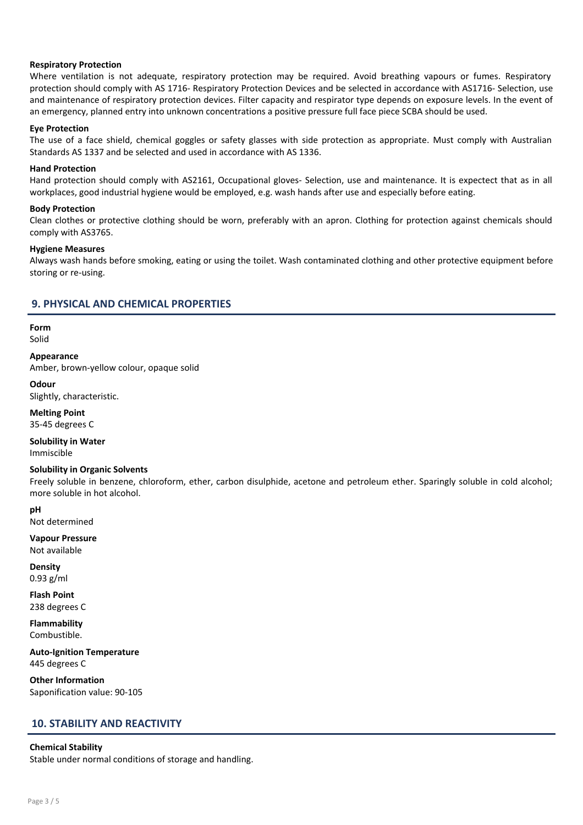#### Respiratory Protection

Where ventilation is not adequate, respiratory protection may be required. Avoid breathing vapours or fumes. Respiratory protection should comply with AS 1716- Respiratory Protection Devices and be selected in accordance with AS1716- Selection, use and maintenance of respiratory protection devices. Filter capacity and respirator type depends on exposure levels. In the event of an emergency, planned entry into unknown concentrations a positive pressure full face piece SCBA should be used.

#### Eye Protection

The use of a face shield, chemical goggles or safety glasses with side protection as appropriate. Must comply with Australian Standards AS 1337 and be selected and used in accordance with AS 1336.

#### Hand Protection

Hand protection should comply with AS2161, Occupational gloves- Selection, use and maintenance. It is expectect that as in all workplaces, good industrial hygiene would be employed, e.g. wash hands after use and especially before eating.

#### Body Protection

Clean clothes or protective clothing should be worn, preferably with an apron. Clothing for protection against chemicals should comply with AS3765.

#### Hygiene Measures

Always wash hands before smoking, eating or using the toilet. Wash contaminated clothing and other protective equipment before storing or re-using.

#### 9. PHYSICAL AND CHEMICAL PROPERTIES

Form Solid

### Appearance

Amber, brown-yellow colour, opaque solid

**Odour** 

Slightly, characteristic.

Melting Point 35-45 degrees C

Solubility in Water Immiscible

#### Solubility in Organic Solvents

Freely soluble in benzene, chloroform, ether, carbon disulphide, acetone and petroleum ether. Sparingly soluble in cold alcohol; more soluble in hot alcohol.

pH

Not determined

Vapour Pressure Not available

**Density** 0.93 g/ml

Flash Point 238 degrees C

Flammability Combustible.

Auto-Ignition Temperature 445 degrees C

Other Information Saponification value: 90-105

# 10. STABILITY AND REACTIVITY

#### Chemical Stability

Stable under normal conditions of storage and handling.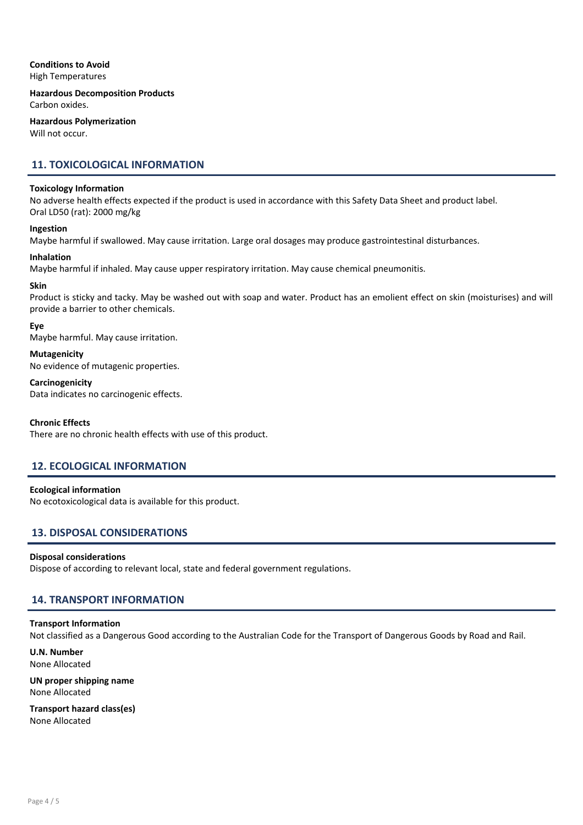#### Conditions to Avoid High Temperatures

Hazardous Decomposition Products Carbon oxides.

Hazardous Polymerization Will not occur.

# 11. TOXICOLOGICAL INFORMATION

#### Toxicology Information

No adverse health effects expected if the product is used in accordance with this Safety Data Sheet and product label. Oral LD50 (rat): 2000 mg/kg

#### Ingestion

Maybe harmful if swallowed. May cause irritation. Large oral dosages may produce gastrointestinal disturbances.

#### Inhalation

Maybe harmful if inhaled. May cause upper respiratory irritation. May cause chemical pneumonitis.

#### Skin

Product is sticky and tacky. May be washed out with soap and water. Product has an emolient effect on skin (moisturises) and will provide a barrier to other chemicals.

#### Eye

Maybe harmful. May cause irritation.

#### Mutagenicity

No evidence of mutagenic properties.

#### **Carcinogenicity**

Data indicates no carcinogenic effects.

#### Chronic Effects

There are no chronic health effects with use of this product.

# 12. ECOLOGICAL INFORMATION

Ecological information

No ecotoxicological data is available for this product.

# 13. DISPOSAL CONSIDERATIONS

#### Disposal considerations

Dispose of according to relevant local, state and federal government regulations.

# 14. TRANSPORT INFORMATION

#### Transport Information

Not classified as a Dangerous Good according to the Australian Code for the Transport of Dangerous Goods by Road and Rail.

U.N. Number None Allocated

UN proper shipping name None Allocated

Transport hazard class(es) None Allocated